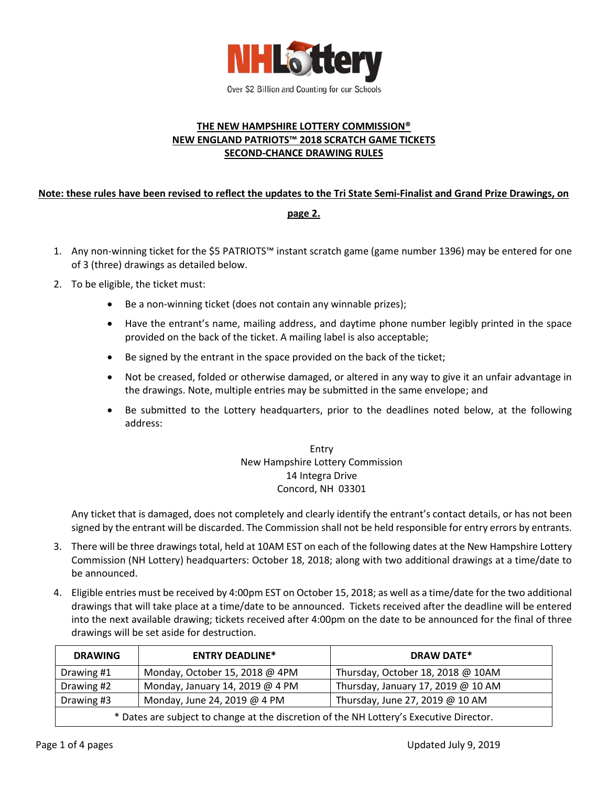

## **THE NEW HAMPSHIRE LOTTERY COMMISSION® NEW ENGLAND PATRIOTS™ 2018 SCRATCH GAME TICKETS SECOND-CHANCE DRAWING RULES**

# **Note: these rules have been revised to reflect the updates to the Tri State Semi-Finalist and Grand Prize Drawings, on**

#### **page 2.**

- 1. Any non-winning ticket for the \$5 PATRIOTS™ instant scratch game (game number 1396) may be entered for one of 3 (three) drawings as detailed below.
- 2. To be eligible, the ticket must:
	- Be a non-winning ticket (does not contain any winnable prizes);
	- Have the entrant's name, mailing address, and daytime phone number legibly printed in the space provided on the back of the ticket. A mailing label is also acceptable;
	- Be signed by the entrant in the space provided on the back of the ticket;
	- Not be creased, folded or otherwise damaged, or altered in any way to give it an unfair advantage in the drawings. Note, multiple entries may be submitted in the same envelope; and
	- Be submitted to the Lottery headquarters, prior to the deadlines noted below, at the following address:

# Entry New Hampshire Lottery Commission 14 Integra Drive Concord, NH 03301

Any ticket that is damaged, does not completely and clearly identify the entrant's contact details, or has not been signed by the entrant will be discarded. The Commission shall not be held responsible for entry errors by entrants.

- 3. There will be three drawings total, held at 10AM EST on each of the following dates at the New Hampshire Lottery Commission (NH Lottery) headquarters: October 18, 2018; along with two additional drawings at a time/date to be announced.
- 4. Eligible entries must be received by 4:00pm EST on October 15, 2018; as well as a time/date for the two additional drawings that will take place at a time/date to be announced. Tickets received after the deadline will be entered into the next available drawing; tickets received after 4:00pm on the date to be announced for the final of three drawings will be set aside for destruction.

| <b>DRAWING</b>                                                                          | <b>ENTRY DEADLINE*</b>          | <b>DRAW DATE*</b>                  |
|-----------------------------------------------------------------------------------------|---------------------------------|------------------------------------|
| Drawing #1                                                                              | Monday, October 15, 2018 @ 4PM  | Thursday, October 18, 2018 @ 10AM  |
| Drawing #2                                                                              | Monday, January 14, 2019 @ 4 PM | Thursday, January 17, 2019 @ 10 AM |
| Drawing #3                                                                              | Monday, June 24, 2019 @ 4 PM    | Thursday, June 27, 2019 @ 10 AM    |
| * Dates are subject to change at the discretion of the NH Lottery's Executive Director. |                                 |                                    |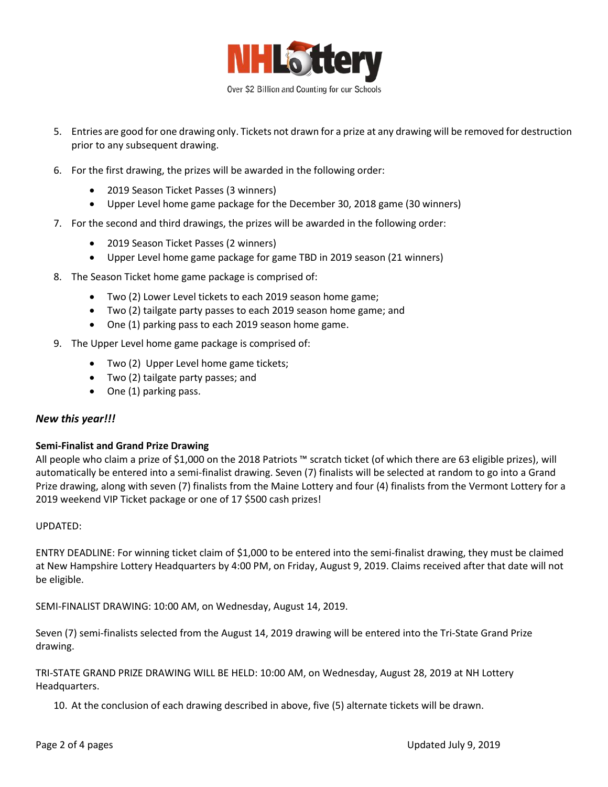

- 5. Entries are good for one drawing only. Tickets not drawn for a prize at any drawing will be removed for destruction prior to any subsequent drawing.
- 6. For the first drawing, the prizes will be awarded in the following order:
	- 2019 Season Ticket Passes (3 winners)
	- Upper Level home game package for the December 30, 2018 game (30 winners)
- 7. For the second and third drawings, the prizes will be awarded in the following order:
	- 2019 Season Ticket Passes (2 winners)
	- Upper Level home game package for game TBD in 2019 season (21 winners)
- 8. The Season Ticket home game package is comprised of:
	- Two (2) Lower Level tickets to each 2019 season home game;
	- Two (2) tailgate party passes to each 2019 season home game; and
	- One (1) parking pass to each 2019 season home game.
- 9. The Upper Level home game package is comprised of:
	- Two (2) Upper Level home game tickets;
	- Two (2) tailgate party passes; and
	- One (1) parking pass.

### *New this year!!!*

### **Semi-Finalist and Grand Prize Drawing**

All people who claim a prize of \$1,000 on the 2018 Patriots ™ scratch ticket (of which there are 63 eligible prizes), will automatically be entered into a semi-finalist drawing. Seven (7) finalists will be selected at random to go into a Grand Prize drawing, along with seven (7) finalists from the Maine Lottery and four (4) finalists from the Vermont Lottery for a 2019 weekend VIP Ticket package or one of 17 \$500 cash prizes!

### UPDATED:

ENTRY DEADLINE: For winning ticket claim of \$1,000 to be entered into the semi-finalist drawing, they must be claimed at New Hampshire Lottery Headquarters by 4:00 PM, on Friday, August 9, 2019. Claims received after that date will not be eligible.

SEMI-FINALIST DRAWING: 10:00 AM, on Wednesday, August 14, 2019.

Seven (7) semi-finalists selected from the August 14, 2019 drawing will be entered into the Tri-State Grand Prize drawing.

TRI-STATE GRAND PRIZE DRAWING WILL BE HELD: 10:00 AM, on Wednesday, August 28, 2019 at NH Lottery Headquarters.

10. At the conclusion of each drawing described in above, five (5) alternate tickets will be drawn.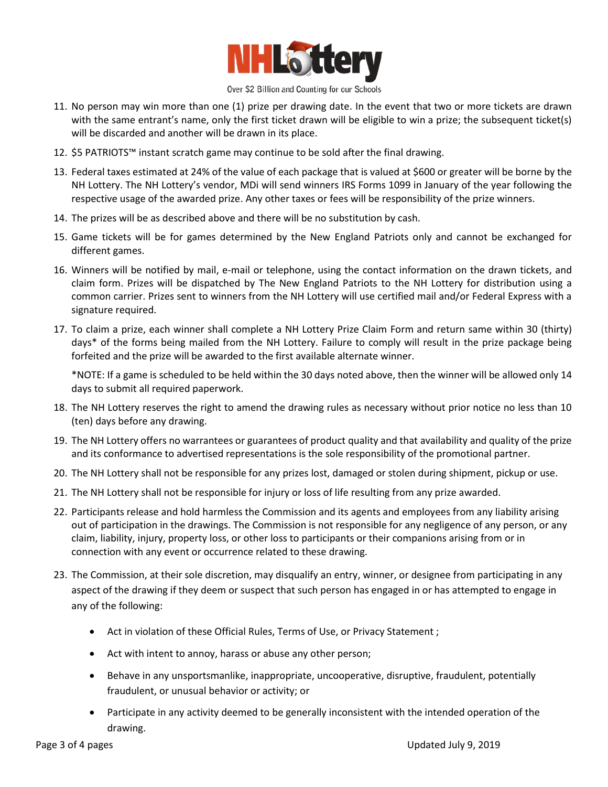

#### Over \$2 Billion and Counting for our Schools

- 11. No person may win more than one (1) prize per drawing date. In the event that two or more tickets are drawn with the same entrant's name, only the first ticket drawn will be eligible to win a prize; the subsequent ticket(s) will be discarded and another will be drawn in its place.
- 12. \$5 PATRIOTS™ instant scratch game may continue to be sold after the final drawing.
- 13. Federal taxes estimated at 24% of the value of each package that is valued at \$600 or greater will be borne by the NH Lottery. The NH Lottery's vendor, MDi will send winners IRS Forms 1099 in January of the year following the respective usage of the awarded prize. Any other taxes or fees will be responsibility of the prize winners.
- 14. The prizes will be as described above and there will be no substitution by cash.
- 15. Game tickets will be for games determined by the New England Patriots only and cannot be exchanged for different games.
- 16. Winners will be notified by mail, e-mail or telephone, using the contact information on the drawn tickets, and claim form. Prizes will be dispatched by The New England Patriots to the NH Lottery for distribution using a common carrier. Prizes sent to winners from the NH Lottery will use certified mail and/or Federal Express with a signature required.
- 17. To claim a prize, each winner shall complete a NH Lottery Prize Claim Form and return same within 30 (thirty) days\* of the forms being mailed from the NH Lottery. Failure to comply will result in the prize package being forfeited and the prize will be awarded to the first available alternate winner.

\*NOTE: If a game is scheduled to be held within the 30 days noted above, then the winner will be allowed only 14 days to submit all required paperwork.

- 18. The NH Lottery reserves the right to amend the drawing rules as necessary without prior notice no less than 10 (ten) days before any drawing.
- 19. The NH Lottery offers no warrantees or guarantees of product quality and that availability and quality of the prize and its conformance to advertised representations is the sole responsibility of the promotional partner.
- 20. The NH Lottery shall not be responsible for any prizes lost, damaged or stolen during shipment, pickup or use.
- 21. The NH Lottery shall not be responsible for injury or loss of life resulting from any prize awarded.
- 22. Participants release and hold harmless the Commission and its agents and employees from any liability arising out of participation in the drawings. The Commission is not responsible for any negligence of any person, or any claim, liability, injury, property loss, or other loss to participants or their companions arising from or in connection with any event or occurrence related to these drawing.
- 23. The Commission, at their sole discretion, may disqualify an entry, winner, or designee from participating in any aspect of the drawing if they deem or suspect that such person has engaged in or has attempted to engage in any of the following:
	- Act in violation of these Official Rules, Terms of Use, or Privacy Statement ;
	- Act with intent to annoy, harass or abuse any other person;
	- Behave in any unsportsmanlike, inappropriate, uncooperative, disruptive, fraudulent, potentially fraudulent, or unusual behavior or activity; or
	- Participate in any activity deemed to be generally inconsistent with the intended operation of the drawing.